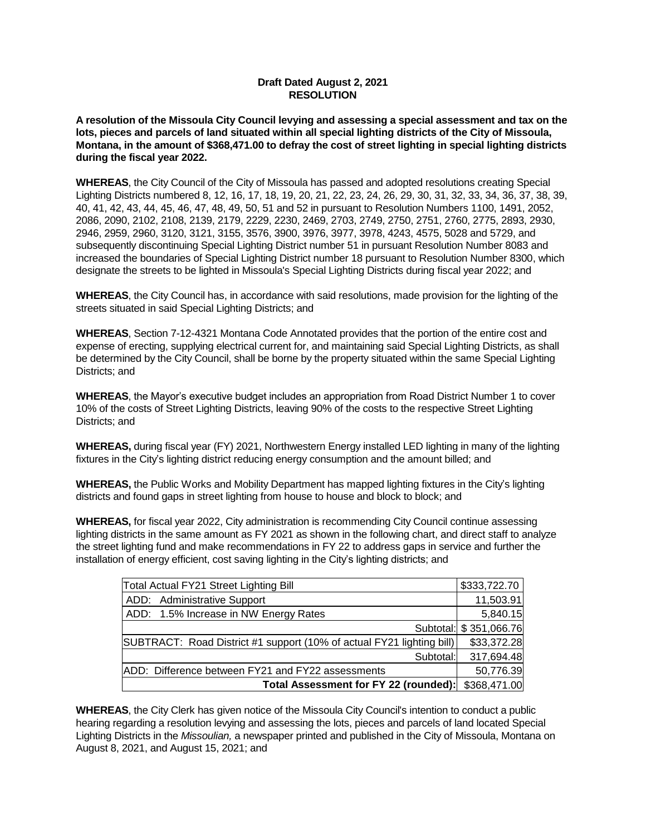## **Draft Dated August 2, 2021 RESOLUTION**

**A resolution of the Missoula City Council levying and assessing a special assessment and tax on the lots, pieces and parcels of land situated within all special lighting districts of the City of Missoula, Montana, in the amount of \$368,471.00 to defray the cost of street lighting in special lighting districts during the fiscal year 2022.**

**WHEREAS**, the City Council of the City of Missoula has passed and adopted resolutions creating Special Lighting Districts numbered 8, 12, 16, 17, 18, 19, 20, 21, 22, 23, 24, 26, 29, 30, 31, 32, 33, 34, 36, 37, 38, 39, 40, 41, 42, 43, 44, 45, 46, 47, 48, 49, 50, 51 and 52 in pursuant to Resolution Numbers 1100, 1491, 2052, 2086, 2090, 2102, 2108, 2139, 2179, 2229, 2230, 2469, 2703, 2749, 2750, 2751, 2760, 2775, 2893, 2930, 2946, 2959, 2960, 3120, 3121, 3155, 3576, 3900, 3976, 3977, 3978, 4243, 4575, 5028 and 5729, and subsequently discontinuing Special Lighting District number 51 in pursuant Resolution Number 8083 and increased the boundaries of Special Lighting District number 18 pursuant to Resolution Number 8300, which designate the streets to be lighted in Missoula's Special Lighting Districts during fiscal year 2022; and

**WHEREAS**, the City Council has, in accordance with said resolutions, made provision for the lighting of the streets situated in said Special Lighting Districts; and

**WHEREAS**, Section 7-12-4321 Montana Code Annotated provides that the portion of the entire cost and expense of erecting, supplying electrical current for, and maintaining said Special Lighting Districts, as shall be determined by the City Council, shall be borne by the property situated within the same Special Lighting Districts; and

**WHEREAS**, the Mayor's executive budget includes an appropriation from Road District Number 1 to cover 10% of the costs of Street Lighting Districts, leaving 90% of the costs to the respective Street Lighting Districts; and

**WHEREAS,** during fiscal year (FY) 2021, Northwestern Energy installed LED lighting in many of the lighting fixtures in the City's lighting district reducing energy consumption and the amount billed; and

**WHEREAS,** the Public Works and Mobility Department has mapped lighting fixtures in the City's lighting districts and found gaps in street lighting from house to house and block to block; and

**WHEREAS,** for fiscal year 2022, City administration is recommending City Council continue assessing lighting districts in the same amount as FY 2021 as shown in the following chart, and direct staff to analyze the street lighting fund and make recommendations in FY 22 to address gaps in service and further the installation of energy efficient, cost saving lighting in the City's lighting districts; and

| Total Actual FY21 Street Lighting Bill                                | \$333,722.70           |
|-----------------------------------------------------------------------|------------------------|
| ADD: Administrative Support                                           | 11,503.91              |
| ADD: 1.5% Increase in NW Energy Rates                                 | 5,840.15               |
|                                                                       | Subtotal: \$351,066.76 |
| SUBTRACT: Road District #1 support (10% of actual FY21 lighting bill) | \$33,372.28            |
| Subtotal:                                                             | 317,694.48             |
| ADD: Difference between FY21 and FY22 assessments                     | 50,776.39              |
| Total Assessment for FY 22 (rounded):                                 | \$368,471.00           |

**WHEREAS**, the City Clerk has given notice of the Missoula City Council's intention to conduct a public hearing regarding a resolution levying and assessing the lots, pieces and parcels of land located Special Lighting Districts in the *Missoulian,* a newspaper printed and published in the City of Missoula, Montana on August 8, 2021, and August 15, 2021; and